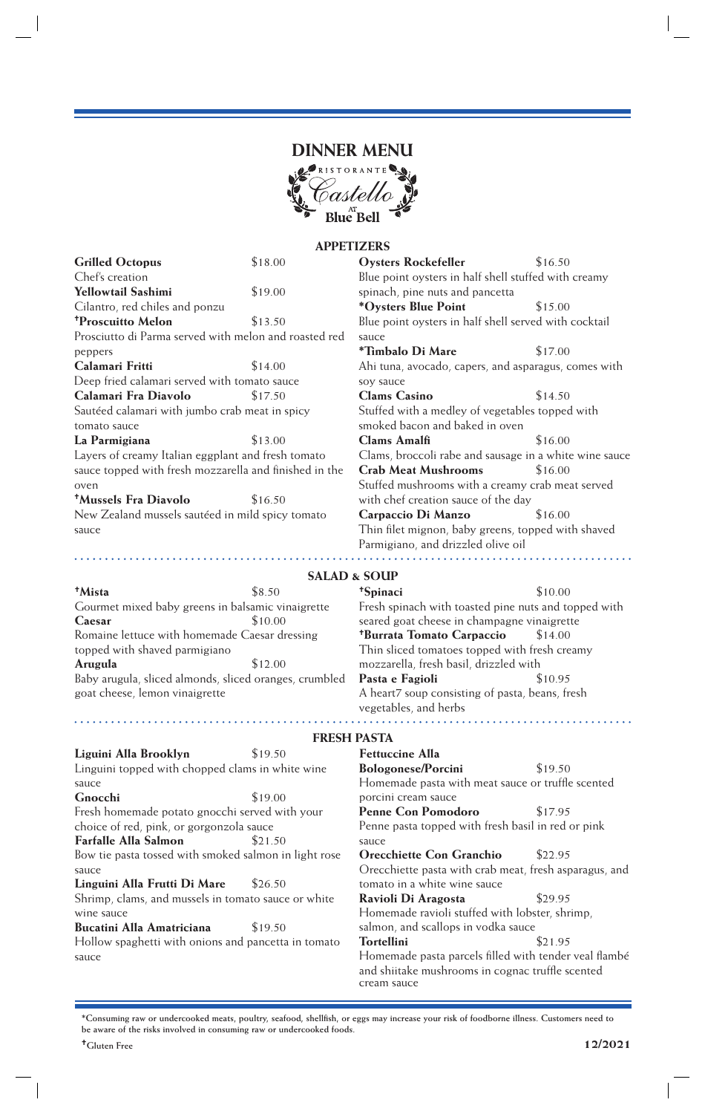

## **APPETIZERS**

| <b>Grilled Octopus</b>                                 | \$18.00                 | <b>Oysters Rockefeller</b>                                                            | \$16.50 |  |
|--------------------------------------------------------|-------------------------|---------------------------------------------------------------------------------------|---------|--|
| Chef's creation                                        |                         | Blue point oysters in half shell stuffed with creamy                                  |         |  |
| Yellowtail Sashimi                                     | \$19.00                 | spinach, pine nuts and pancetta                                                       |         |  |
| Cilantro, red chiles and ponzu                         |                         | *Oysters Blue Point                                                                   | \$15.00 |  |
| <sup>+</sup> Proscuitto Melon                          | \$13.50                 | Blue point oysters in half shell served with cocktail                                 |         |  |
| Prosciutto di Parma served with melon and roasted red  |                         | sauce                                                                                 |         |  |
| peppers                                                |                         | *Timbalo Di Mare                                                                      | \$17.00 |  |
| Calamari Fritti                                        | \$14.00                 | Ahi tuna, avocado, capers, and asparagus, comes with                                  |         |  |
| Deep fried calamari served with tomato sauce           |                         | soy sauce                                                                             |         |  |
| Calamari Fra Diavolo                                   | \$17.50                 | <b>Clams Casino</b>                                                                   | \$14.50 |  |
| Sautéed calamari with jumbo crab meat in spicy         |                         | Stuffed with a medley of vegetables topped with                                       |         |  |
| tomato sauce                                           |                         | smoked bacon and baked in oven                                                        |         |  |
| La Parmigiana                                          | \$13.00                 | <b>Clams Amalfi</b>                                                                   | \$16.00 |  |
| Layers of creamy Italian eggplant and fresh tomato     |                         | Clams, broccoli rabe and sausage in a white wine sauce                                |         |  |
| sauce topped with fresh mozzarella and finished in the |                         | <b>Crab Meat Mushrooms</b>                                                            | \$16.00 |  |
| oven                                                   |                         | Stuffed mushrooms with a creamy crab meat served                                      |         |  |
| <sup>†</sup> Mussels Fra Diavolo<br>\$16.50            |                         | with chef creation sauce of the day                                                   |         |  |
| New Zealand mussels sautéed in mild spicy tomato       |                         | Carpaccio Di Manzo                                                                    | \$16.00 |  |
| sauce                                                  |                         | Thin filet mignon, baby greens, topped with shaved                                    |         |  |
|                                                        |                         | Parmigiano, and drizzled olive oil                                                    |         |  |
|                                                        |                         |                                                                                       |         |  |
|                                                        | <b>SALAD &amp; SOUP</b> |                                                                                       |         |  |
| <sup>†</sup> Mista                                     | \$8.50                  | <sup>+</sup> Spinaci                                                                  | \$10.00 |  |
| Gourmet mixed baby greens in balsamic vinaigrette      |                         | Fresh spinach with toasted pine nuts and topped with                                  |         |  |
| \$10.00<br>Caesar                                      |                         | seared goat cheese in champagne vinaigrette                                           |         |  |
| Romaine lettuce with homemade Caesar dressing          |                         | <sup>+</sup> Burrata Tomato Carpaccio<br>\$14.00                                      |         |  |
| topped with shaved parmigiano                          |                         | Thin sliced tomatoes topped with fresh creamy                                         |         |  |
| \$12.00<br>Arugula                                     |                         | mozzarella, fresh basil, drizzled with                                                |         |  |
| Baby arugula, sliced almonds, sliced oranges, crumbled |                         | \$10.95<br>Pasta e Fagioli                                                            |         |  |
| goat cheese, lemon vinaigrette                         |                         | A heart7 soup consisting of pasta, beans, fresh                                       |         |  |
|                                                        |                         | vegetables, and herbs                                                                 |         |  |
|                                                        |                         |                                                                                       |         |  |
|                                                        | <b>FRESH PASTA</b>      |                                                                                       |         |  |
| Liguini Alla Brooklyn                                  | \$19.50                 | <b>Fettuccine Alla</b>                                                                |         |  |
| Linguini topped with chopped clams in white wine       |                         | <b>Bologonese/Porcini</b>                                                             | \$19.50 |  |
| sauce                                                  |                         | Homemade pasta with meat sauce or truffle scented                                     |         |  |
| Gnocchi                                                | \$19.00                 | porcini cream sauce                                                                   |         |  |
| Fresh homemade potato gnocchi served with your         |                         | <b>Penne Con Pomodoro</b>                                                             | \$17.95 |  |
| choice of red, pink, or gorgonzola sauce               |                         | Penne pasta topped with fresh basil in red or pink                                    |         |  |
| <b>Farfalle Alla Salmon</b>                            | \$21.50                 | sauce                                                                                 |         |  |
| Bow tie pasta tossed with smoked salmon in light rose  |                         | <b>Orecchiette Con Granchio</b>                                                       | \$22.95 |  |
| sauce                                                  |                         | Orecchiette pasta with crab meat, fresh asparagus, and                                |         |  |
| Linguini Alla Frutti Di Mare                           | \$26.50                 | tomato in a white wine sauce                                                          |         |  |
| Shrimp, clams, and mussels in tomato sauce or white    |                         | Ravioli Di Aragosta<br>\$29.95                                                        |         |  |
| wine sauce                                             |                         | Homemade ravioli stuffed with lobster, shrimp,                                        |         |  |
| Bucatini Alla Amatriciana<br>\$19.50                   |                         | salmon, and scallops in vodka sauce                                                   |         |  |
| Hollow spaghetti with onions and pancetta in tomato    |                         | <b>Tortellini</b><br>\$21.95<br>Homemade pasta parcels filled with tender veal flambé |         |  |
| sauce                                                  |                         | and shiitake mushrooms in cognac truffle scented                                      |         |  |
|                                                        |                         | cream sauce                                                                           |         |  |

**\*Consuming raw or undercooked meats, poultry, seafood, shellfish, or eggs may increase your risk of foodborne illness. Customers need to be aware of the risks involved in consuming raw or undercooked foods.**

 $\overline{\phantom{a}}$